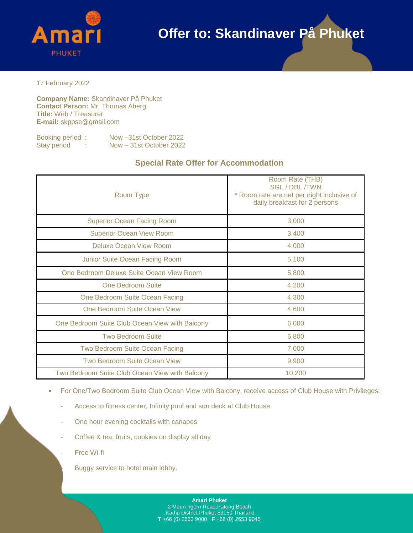

17 February 2022

**Company Name:** Skandinaver På Phuket **Contact Person:** Mr. Thomas Aberg **Title:** Web / Treasurer **E-mail:** skppse@gmail.com

| Booking period: | Now -31st October 2022  |
|-----------------|-------------------------|
| Stay period     | Now - 31st October 2022 |

### **Special Rate Offer for Accommodation**

| Room Type                                      | Room Rate (THB)<br><b>SGL/DBL/TWN</b><br>* Room rate are net per night inclusive of<br>daily breakfast for 2 persons |  |  |  |  |
|------------------------------------------------|----------------------------------------------------------------------------------------------------------------------|--|--|--|--|
| <b>Superior Ocean Facing Room</b>              | 3,000                                                                                                                |  |  |  |  |
| <b>Superior Ocean View Room</b>                | 3,400                                                                                                                |  |  |  |  |
| Deluxe Ocean View Room                         | 4,000                                                                                                                |  |  |  |  |
| Junior Suite Ocean Facing Room                 | 5,100                                                                                                                |  |  |  |  |
| One Bedroom Deluxe Suite Ocean View Room       | 5,800                                                                                                                |  |  |  |  |
| One Bedroom Suite                              | 4,200                                                                                                                |  |  |  |  |
| One Bedroom Suite Ocean Facing                 | 4,300                                                                                                                |  |  |  |  |
| One Bedroom Suite Ocean View                   | 4,600                                                                                                                |  |  |  |  |
| One Bedroom Suite Club Ocean View with Balcony | 6,000                                                                                                                |  |  |  |  |
| <b>Two Bedroom Suite</b>                       | 6,800                                                                                                                |  |  |  |  |
| Two Bedroom Suite Ocean Facing                 | 7,000                                                                                                                |  |  |  |  |
| Two Bedroom Suite Ocean View                   | 9,900                                                                                                                |  |  |  |  |
| Two Bedroom Suite Club Ocean View with Balcony | 10,200                                                                                                               |  |  |  |  |

- For One/Two Bedroom Suite Club Ocean View with Balcony, receive access of Club House with Privileges:
	- Access to fitness center, Infinity pool and sun deck at Club House.
	- One hour evening cocktails with canapes
	- Coffee & tea, fruits, cookies on display all day
	- Free Wi-fi

Buggy service to hotel main lobby.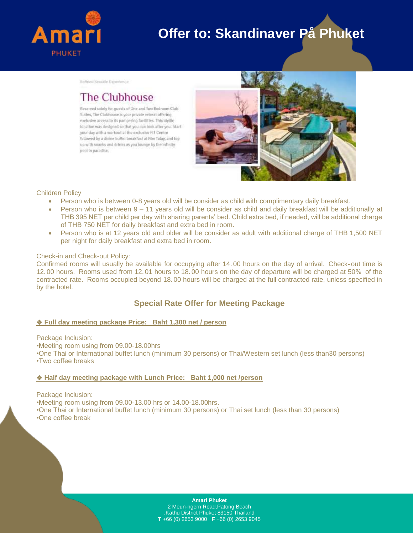

Reffried Seauide Experience

## **The Clubhouse**

Reserved solely for guests of One and Two Bedroom Club Suites, The Clubhouse is your private retreat offering exclusive access to its pampering facilities. This ldyllic location was designed so that you can look after you. Start your day with a workout at the exclusive FIT Centre followed by a divine buffet breakfast at Rim Talay, and top up with snacks and drinks as you lounge by the infinity pool in paradise.



#### Children Policy

- Person who is between 0-8 years old will be consider as child with complimentary daily breakfast.
- Person who is between 9 11 years old will be consider as child and daily breakfast will be additionally at THB 395 NET per child per day with sharing parents' bed. Child extra bed, if needed, will be additional charge of THB 750 NET for daily breakfast and extra bed in room.
- Person who is at 12 years old and older will be consider as adult with additional charge of THB 1,500 NET per night for daily breakfast and extra bed in room.

#### Check-in and Check-out Policy:

Confirmed rooms will usually be available for occupying after 14. 00 hours on the day of arrival. Check- out time is 12. 00 hours. Rooms used from 12. 01 hours to 18. 00 hours on the day of departure will be charged at 50% of the contracted rate. Rooms occupied beyond 18. 00 hours will be charged at the full contracted rate, unless specified in by the hotel.

### **Special Rate Offer for Meeting Package**

#### ❖ **Full day meeting package Price: Baht 1,300 net / person**

Package Inclusion:

•Meeting room using from 09.00-18.00hrs

•One Thai or International buffet lunch (minimum 30 persons) or Thai/Western set lunch (less than30 persons) •Two coffee breaks

#### ❖ **Half day meeting package with Lunch Price: Baht 1,000 net /person**

Package Inclusion:

•Meeting room using from 09.00-13.00 hrs or 14.00-18.00hrs.

•One Thai or International buffet lunch (minimum 30 persons) or Thai set lunch (less than 30 persons) •One coffee break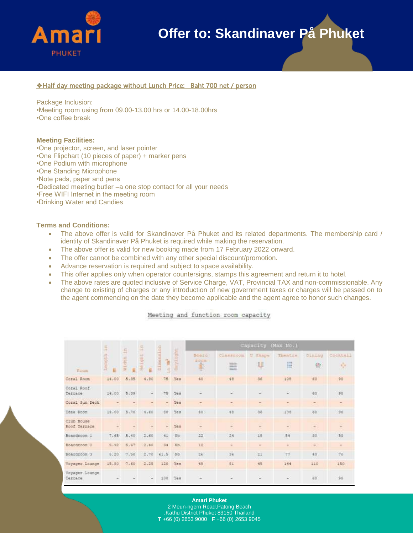

#### ❖Half day meeting package without Lunch Price: Baht 700 net / person

Package Inclusion:

•Meeting room using from 09.00-13.00 hrs or 14.00-18.00hrs

•One coffee break

#### **Meeting Facilities:**

- •One projector, screen, and laser pointer
- •One Flipchart (10 pieces of paper) + marker pens
- •One Podium with microphone
- •One Standing Microphone
- •Note pads, paper and pens
- •Dedicated meeting butler –a one stop contact for all your needs
- •Free WIFI Internet in the meeting room
- •Drinking Water and Candies

#### **Terms and Conditions:**

- The above offer is valid for Skandinaver På Phuket and its related departments. The membership card / identity of Skandinaver På Phuket is required while making the reservation.
- The above offer is valid for new booking made from 17 February 2022 onward.
- The offer cannot be combined with any other special discount/promotion.
- Advance reservation is required and subject to space availability.
- This offer applies only when operator countersigns, stamps this agreement and return it to hotel.
- The above rates are quoted inclusive of Service Charge, VAT, Provincial TAX and non-commissionable. Any change to existing of charges or any introduction of new government taxes or charges will be passed on to the agent commencing on the date they become applicable and the agent agree to honor such changes.

Meeting and function room capacity

| <b>Boom</b>                | 長<br>Hingth<br>益 | in.<br>din<br>Ë<br>Ξ | 届<br>m<br>ght:<br>-<br>曲<br>Ë | Dittienmitten<br>借<br>通 | ylight<br>٠     | Capacity (Max No.)                      |                                            |                     |               |              |                |
|----------------------------|------------------|----------------------|-------------------------------|-------------------------|-----------------|-----------------------------------------|--------------------------------------------|---------------------|---------------|--------------|----------------|
|                            |                  |                      |                               |                         |                 | Soard<br><b>Eddin</b><br>ř.<br>$\equiv$ | <b>Classroom</b><br>sum<br>sizin.<br>Weste | <b>U</b> shape<br>辈 | Theatre<br>H  | Diming<br>辦  | Cocktail<br>N. |
| Coral Room                 | 14.00            | 5.35                 | 4.90                          | 75                      | Yes             | 40                                      | 48                                         | 36                  | 198           | €0           | 90             |
| Coral Roof<br>Terrace      | 14.00            | 5.35                 | $\frac{1}{2}$                 | 75                      | Yes             |                                         |                                            | -                   | ٠             | $\epsilon$ o | 90             |
| Coral Sun Deck             |                  |                      | $\sim$                        | ÷.                      | Yes             | $\overline{\phantom{a}}$                | $\overline{a}$                             | $\sim$              | $\sim$        | $\sim$       | $\sim$         |
| Idea Room                  | 14,00            | 5.70                 | 4.60                          | 80                      | Yes             | 40 :                                    | 48                                         | 36                  | 101           | 60           | 90             |
| Club House<br>Roof Terrace | ÷                | $\overline{a}$       | $\frac{1}{2}$                 | $\sim$                  | Yes.            | $\frac{1}{2}$                           | $\blacksquare$                             | $\equiv$            | $\equiv$      | $\sim$       | $\equiv$       |
| Boardroom 1                | 7.65.            | 5.40                 | 2,60                          | 41.                     | No              | 22                                      | 24                                         | 1B                  | 54            | 30           | 50             |
| Boardroom I                | 5.52             | 5.67                 | 21.60                         | 34                      | 18 <sub>0</sub> | 12                                      | $\sim$                                     | $\equiv$            | ÷             | $\sim$       | $\overline{ }$ |
| Boardroom 3                | 6.20             | 7.50                 | 2.70                          | 61.5                    | M6              | 16                                      | 36                                         | h                   | $\frac{1}{2}$ | 40           | 76             |
| Voyager Lounge             | 15,80            | 7.60                 | 2.25                          | 120                     | Yes             | 48                                      | 0I                                         | 45                  | 144           | 110          | 150            |
| Voyager Lounge<br>Terrace  |                  |                      | $\sim$                        | 100                     | Yes             |                                         |                                            | s                   | ٠             | 60           | 90             |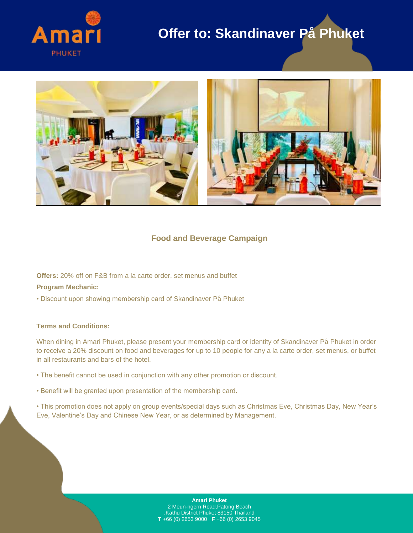



### **Food and Beverage Campaign**

**Offers:** 20% off on F&B from a la carte order, set menus and buffet

#### **Program Mechanic:**

• Discount upon showing membership card of Skandinaver På Phuket

#### **Terms and Conditions:**

When dining in Amari Phuket, please present your membership card or identity of Skandinaver På Phuket in order to receive a 20% discount on food and beverages for up to 10 people for any a la carte order, set menus, or buffet in all restaurants and bars of the hotel.

- The benefit cannot be used in conjunction with any other promotion or discount.
- Benefit will be granted upon presentation of the membership card.
- This promotion does not apply on group events/special days such as Christmas Eve, Christmas Day, New Year's Eve, Valentine's Day and Chinese New Year, or as determined by Management.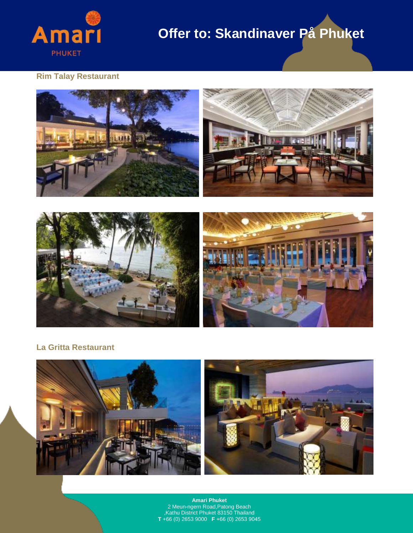

### **Rim Talay Restaurant**





### **La Gritta Restaurant**

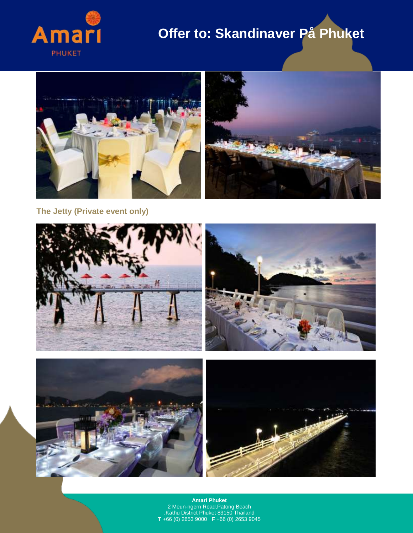



**The Jetty (Private event only)**